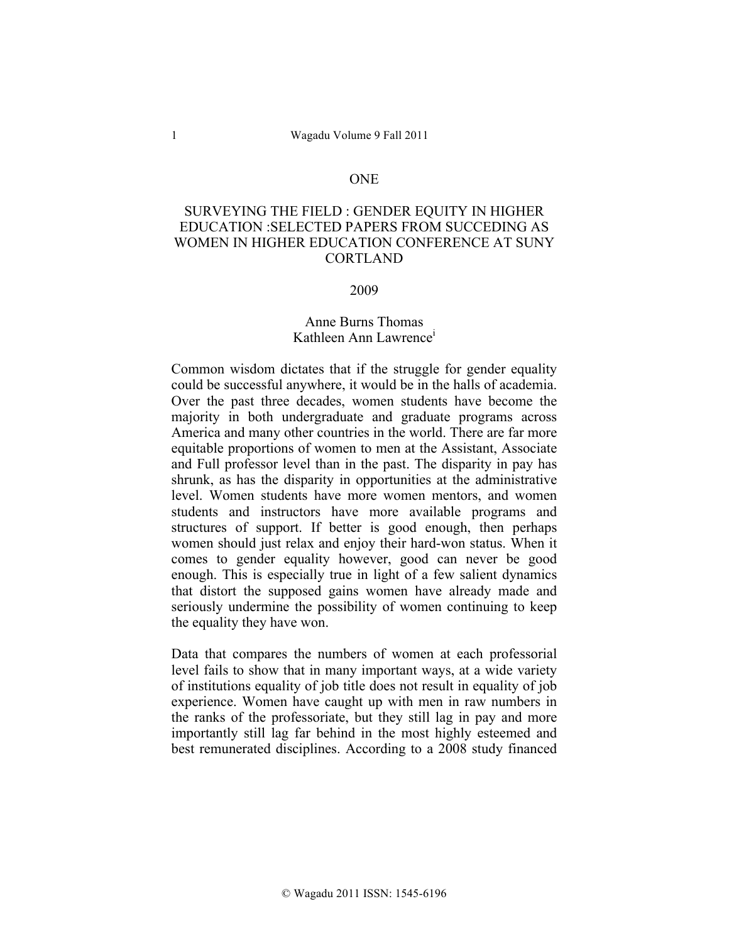### **ONE**

# SURVEYING THE FIELD : GENDER EQUITY IN HIGHER EDUCATION :SELECTED PAPERS FROM SUCCEDING AS WOMEN IN HIGHER EDUCATION CONFERENCE AT SUNY CORTLAND

### 2009

# Anne Burns Thomas Kathleen Ann Lawrence<sup>i</sup>

Common wisdom dictates that if the struggle for gender equality could be successful anywhere, it would be in the halls of academia. Over the past three decades, women students have become the majority in both undergraduate and graduate programs across America and many other countries in the world. There are far more equitable proportions of women to men at the Assistant, Associate and Full professor level than in the past. The disparity in pay has shrunk, as has the disparity in opportunities at the administrative level. Women students have more women mentors, and women students and instructors have more available programs and structures of support. If better is good enough, then perhaps women should just relax and enjoy their hard-won status. When it comes to gender equality however, good can never be good enough. This is especially true in light of a few salient dynamics that distort the supposed gains women have already made and seriously undermine the possibility of women continuing to keep the equality they have won.

Data that compares the numbers of women at each professorial level fails to show that in many important ways, at a wide variety of institutions equality of job title does not result in equality of job experience. Women have caught up with men in raw numbers in the ranks of the professoriate, but they still lag in pay and more importantly still lag far behind in the most highly esteemed and best remunerated disciplines. According to a 2008 study financed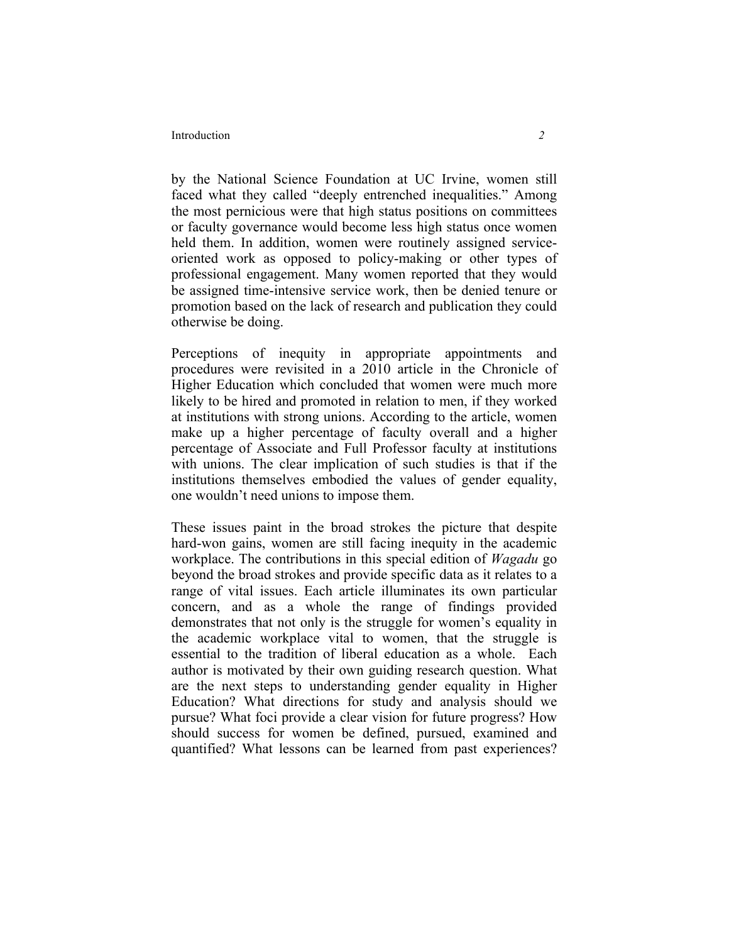#### Introduction *2*

by the National Science Foundation at UC Irvine, women still faced what they called "deeply entrenched inequalities." Among the most pernicious were that high status positions on committees or faculty governance would become less high status once women held them. In addition, women were routinely assigned serviceoriented work as opposed to policy-making or other types of professional engagement. Many women reported that they would be assigned time-intensive service work, then be denied tenure or promotion based on the lack of research and publication they could otherwise be doing.

Perceptions of inequity in appropriate appointments and procedures were revisited in a 2010 article in the Chronicle of Higher Education which concluded that women were much more likely to be hired and promoted in relation to men, if they worked at institutions with strong unions. According to the article, women make up a higher percentage of faculty overall and a higher percentage of Associate and Full Professor faculty at institutions with unions. The clear implication of such studies is that if the institutions themselves embodied the values of gender equality, one wouldn't need unions to impose them.

These issues paint in the broad strokes the picture that despite hard-won gains, women are still facing inequity in the academic workplace. The contributions in this special edition of *Wagadu* go beyond the broad strokes and provide specific data as it relates to a range of vital issues. Each article illuminates its own particular concern, and as a whole the range of findings provided demonstrates that not only is the struggle for women's equality in the academic workplace vital to women, that the struggle is essential to the tradition of liberal education as a whole. Each author is motivated by their own guiding research question. What are the next steps to understanding gender equality in Higher Education? What directions for study and analysis should we pursue? What foci provide a clear vision for future progress? How should success for women be defined, pursued, examined and quantified? What lessons can be learned from past experiences?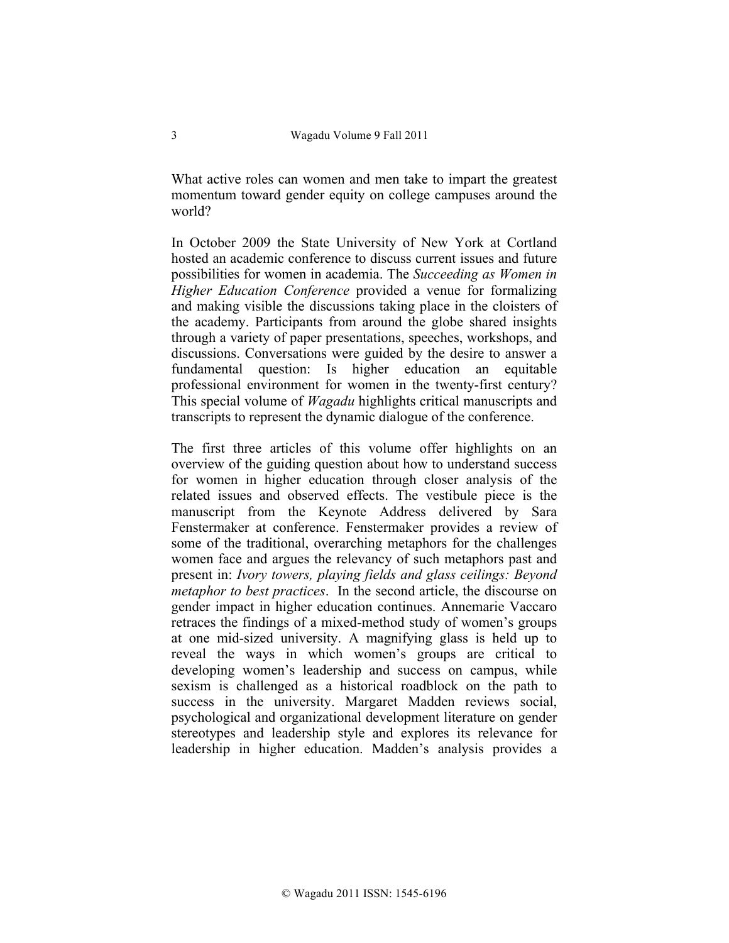What active roles can women and men take to impart the greatest momentum toward gender equity on college campuses around the world?

In October 2009 the State University of New York at Cortland hosted an academic conference to discuss current issues and future possibilities for women in academia. The *Succeeding as Women in Higher Education Conference* provided a venue for formalizing and making visible the discussions taking place in the cloisters of the academy. Participants from around the globe shared insights through a variety of paper presentations, speeches, workshops, and discussions. Conversations were guided by the desire to answer a fundamental question: Is higher education an equitable professional environment for women in the twenty-first century? This special volume of *Wagadu* highlights critical manuscripts and transcripts to represent the dynamic dialogue of the conference.

The first three articles of this volume offer highlights on an overview of the guiding question about how to understand success for women in higher education through closer analysis of the related issues and observed effects. The vestibule piece is the manuscript from the Keynote Address delivered by Sara Fenstermaker at conference. Fenstermaker provides a review of some of the traditional, overarching metaphors for the challenges women face and argues the relevancy of such metaphors past and present in: *Ivory towers, playing fields and glass ceilings: Beyond metaphor to best practices*. In the second article, the discourse on gender impact in higher education continues. Annemarie Vaccaro retraces the findings of a mixed-method study of women's groups at one mid-sized university. A magnifying glass is held up to reveal the ways in which women's groups are critical to developing women's leadership and success on campus, while sexism is challenged as a historical roadblock on the path to success in the university. Margaret Madden reviews social, psychological and organizational development literature on gender stereotypes and leadership style and explores its relevance for leadership in higher education. Madden's analysis provides a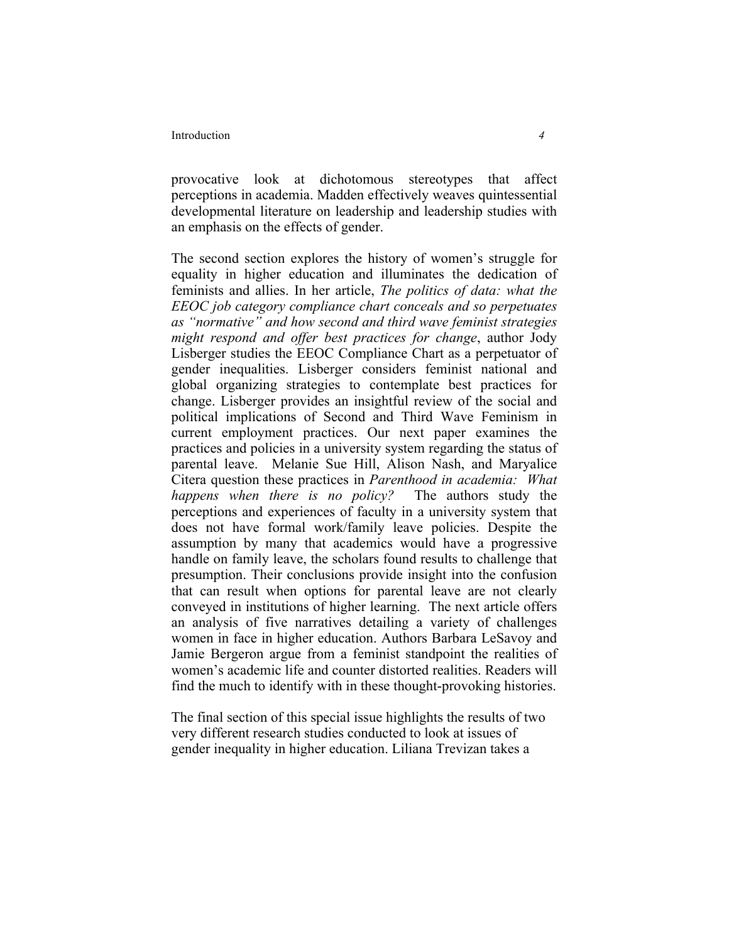#### Introduction *4*

provocative look at dichotomous stereotypes that affect perceptions in academia. Madden effectively weaves quintessential developmental literature on leadership and leadership studies with an emphasis on the effects of gender.

The second section explores the history of women's struggle for equality in higher education and illuminates the dedication of feminists and allies. In her article, *The politics of data: what the EEOC job category compliance chart conceals and so perpetuates as "normative" and how second and third wave feminist strategies might respond and offer best practices for change*, author Jody Lisberger studies the EEOC Compliance Chart as a perpetuator of gender inequalities. Lisberger considers feminist national and global organizing strategies to contemplate best practices for change. Lisberger provides an insightful review of the social and political implications of Second and Third Wave Feminism in current employment practices. Our next paper examines the practices and policies in a university system regarding the status of parental leave. Melanie Sue Hill, Alison Nash, and Maryalice Citera question these practices in *Parenthood in academia: What happens when there is no policy?* The authors study the perceptions and experiences of faculty in a university system that does not have formal work/family leave policies. Despite the assumption by many that academics would have a progressive handle on family leave, the scholars found results to challenge that presumption. Their conclusions provide insight into the confusion that can result when options for parental leave are not clearly conveyed in institutions of higher learning. The next article offers an analysis of five narratives detailing a variety of challenges women in face in higher education. Authors Barbara LeSavoy and Jamie Bergeron argue from a feminist standpoint the realities of women's academic life and counter distorted realities. Readers will find the much to identify with in these thought-provoking histories.

The final section of this special issue highlights the results of two very different research studies conducted to look at issues of gender inequality in higher education. Liliana Trevizan takes a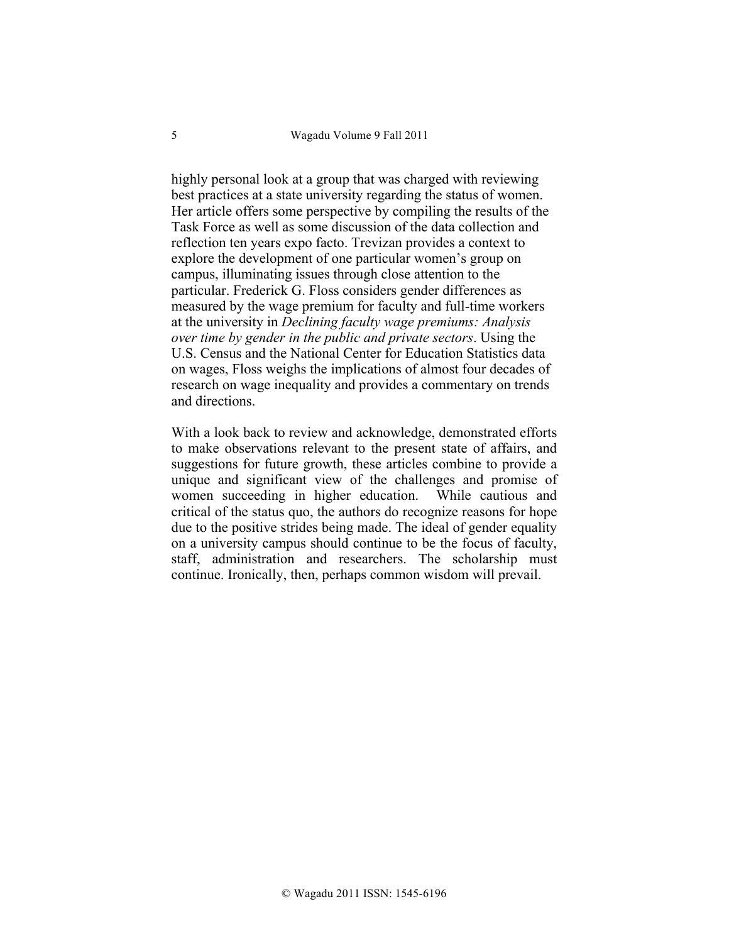highly personal look at a group that was charged with reviewing best practices at a state university regarding the status of women. Her article offers some perspective by compiling the results of the Task Force as well as some discussion of the data collection and reflection ten years expo facto. Trevizan provides a context to explore the development of one particular women's group on campus, illuminating issues through close attention to the particular. Frederick G. Floss considers gender differences as measured by the wage premium for faculty and full-time workers at the university in *Declining faculty wage premiums: Analysis over time by gender in the public and private sectors*. Using the U.S. Census and the National Center for Education Statistics data on wages, Floss weighs the implications of almost four decades of research on wage inequality and provides a commentary on trends and directions.

With a look back to review and acknowledge, demonstrated efforts to make observations relevant to the present state of affairs, and suggestions for future growth, these articles combine to provide a unique and significant view of the challenges and promise of women succeeding in higher education. While cautious and critical of the status quo, the authors do recognize reasons for hope due to the positive strides being made. The ideal of gender equality on a university campus should continue to be the focus of faculty, staff, administration and researchers. The scholarship must continue. Ironically, then, perhaps common wisdom will prevail.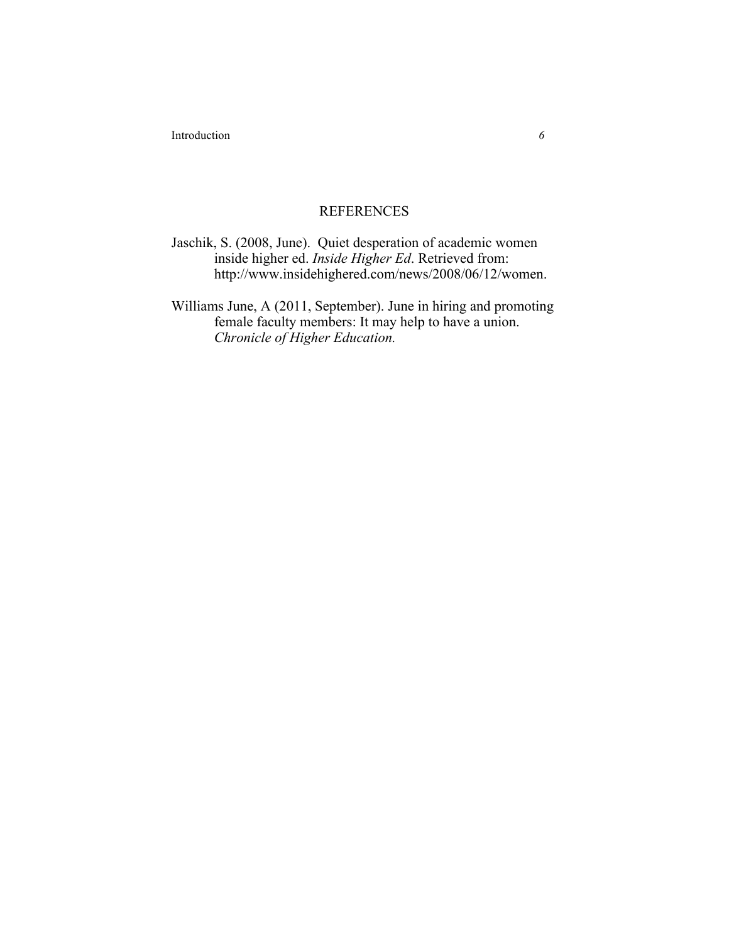Introduction *6*

## REFERENCES

Jaschik, S. (2008, June). Quiet desperation of academic women inside higher ed. *Inside Higher Ed*. Retrieved from: http://www.insidehighered.com/news/2008/06/12/women.

Williams June, A (2011, September). June in hiring and promoting female faculty members: It may help to have a union. *Chronicle of Higher Education.*